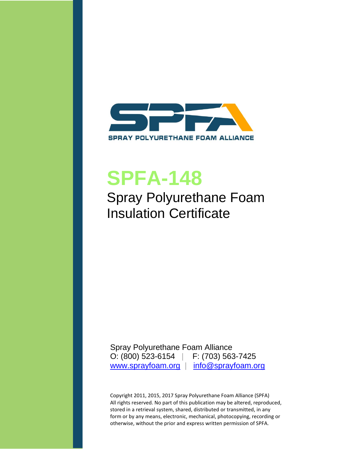

# **SPFA-148**

Spray Polyurethane Foam Insulation Certificate

Spray Polyurethane Foam Alliance O: (800) 523-6154 | F: (703) 563-7425 [www.sprayfoam.org](http://www.sprayfoam.org/) | [info@sprayfoam.org](mailto:info@sprayfoam.org)

Copyright 2011, 2015, 2017 Spray Polyurethane Foam Alliance (SPFA) All rights reserved. No part of this publication may be altered, reproduced, stored in a retrieval system, shared, distributed or transmitted, in any form or by any means, electronic, mechanical, photocopying, recording or otherwise, without the prior and express written permission of SPFA.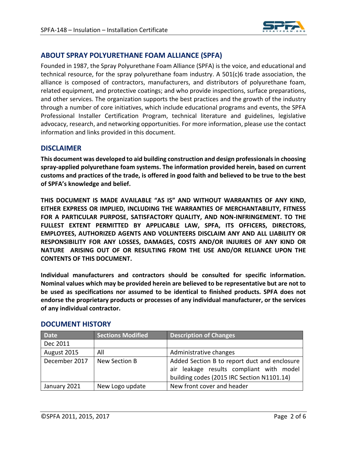

# **ABOUT SPRAY POLYURETHANE FOAM ALLIANCE (SPFA)**

Founded in 1987, the Spray Polyurethane Foam Alliance (SPFA) is the voice, and educational and technical resource, for the spray polyurethane foam industry. A 501(c)6 trade association, the alliance is composed of contractors, manufacturers, and distributors of polyurethane foam, related equipment, and protective coatings; and who provide inspections, surface preparations, and other services. The organization supports the best practices and the growth of the industry through a number of core initiatives, which include educational programs and events, the SPFA Professional Installer Certification Program, technical literature and guidelines, legislative advocacy, research, and networking opportunities. For more information, please use the contact information and links provided in this document.

#### **DISCLAIMER**

**This document was developed to aid building construction and design professionals in choosing spray-applied polyurethane foam systems. The information provided herein, based on current customs and practices of the trade, is offered in good faith and believed to be true to the best of SPFA's knowledge and belief.**

**THIS DOCUMENT IS MADE AVAILABLE "AS IS" AND WITHOUT WARRANTIES OF ANY KIND, EITHER EXPRESS OR IMPLIED, INCLUDING THE WARRANTIES OF MERCHANTABILITY, FITNESS FOR A PARTICULAR PURPOSE, SATISFACTORY QUALITY, AND NON-INFRINGEMENT. TO THE FULLEST EXTENT PERMITTED BY APPLICABLE LAW, SPFA, ITS OFFICERS, DIRECTORS, EMPLOYEES, AUTHORIZED AGENTS AND VOLUNTEERS DISCLAIM ANY AND ALL LIABILITY OR RESPONSIBILITY FOR ANY LOSSES, DAMAGES, COSTS AND/OR INJURIES OF ANY KIND OR NATURE ARISING OUT OF OR RESULTING FROM THE USE AND/OR RELIANCE UPON THE CONTENTS OF THIS DOCUMENT.**

**Individual manufacturers and contractors should be consulted for specific information. Nominal values which may be provided herein are believed to be representative but are not to be used as specifications nor assumed to be identical to finished products. SPFA does not endorse the proprietary products or processes of any individual manufacturer, or the services of any individual contractor.**

| <b>Date</b>   | <b>Sections Modified</b> | <b>Description of Changes</b>                                                                                                          |
|---------------|--------------------------|----------------------------------------------------------------------------------------------------------------------------------------|
| Dec 2011      |                          |                                                                                                                                        |
| August 2015   | All                      | Administrative changes                                                                                                                 |
| December 2017 | New Section B            | Added Section B to report duct and enclosure<br>air leakage results compliant with model<br>building codes (2015 IRC Section N1101.14) |
| January 2021  | New Logo update          | New front cover and header                                                                                                             |

#### **DOCUMENT HISTORY**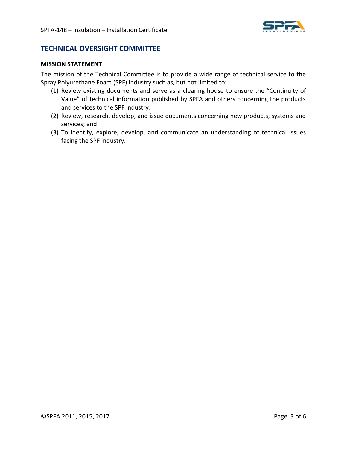

# **TECHNICAL OVERSIGHT COMMITTEE**

#### **MISSION STATEMENT**

The mission of the Technical Committee is to provide a wide range of technical service to the Spray Polyurethane Foam (SPF) industry such as, but not limited to:

- (1) Review existing documents and serve as a clearing house to ensure the "Continuity of Value" of technical information published by SPFA and others concerning the products and services to the SPF industry;
- (2) Review, research, develop, and issue documents concerning new products, systems and services; and
- (3) To identify, explore, develop, and communicate an understanding of technical issues facing the SPF industry.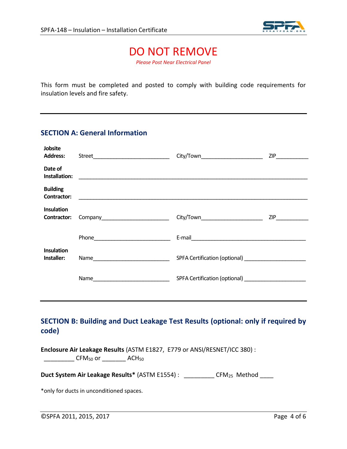

# DO NOT REMOVE

*Please Post Near Electrical Panel*

This form must be completed and posted to comply with building code requirements for insulation levels and fire safety.

#### **SECTION A: General Information**

| Jobsite<br><b>Address:</b>       |                                                            | City/Town__________________________ | ZIP |
|----------------------------------|------------------------------------------------------------|-------------------------------------|-----|
| Date of<br>Installation:         |                                                            |                                     |     |
| <b>Building</b><br>Contractor:   | <u> 1989 - Johann Barn, amerikansk politiker (</u> † 1908) |                                     |     |
| <b>Insulation</b><br>Contractor: | Company___________________________                         | City/Town__________________________ | ZIP |
|                                  |                                                            |                                     |     |
| <b>Insulation</b><br>Installer:  |                                                            |                                     |     |
|                                  |                                                            | SPFA Certification (optional)       |     |
|                                  |                                                            |                                     |     |

# **SECTION B: Building and Duct Leakage Test Results (optional: only if required by code)**

**Enclosure Air Leakage Results** (ASTM E1827, E779 or ANSI/RESNET/ICC 380) : \_\_\_\_\_\_\_\_\_ CFM<sup>50</sup> or \_\_\_\_\_\_\_ ACH<sup>50</sup>

Duct System Air Leakage Results\* (ASTM E1554) : \_\_\_\_\_\_\_\_\_\_ CFM<sub>25</sub> Method \_\_\_\_

\*only for ducts in unconditioned spaces.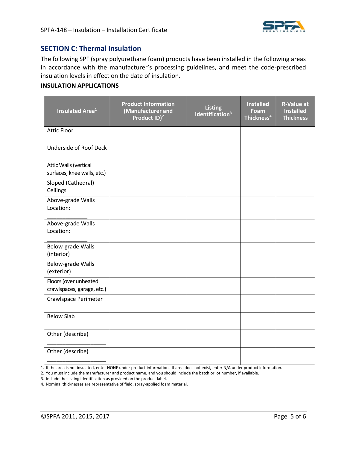

# **SECTION C: Thermal Insulation**

The following SPF (spray polyurethane foam) products have been installed in the following areas in accordance with the manufacturer's processing guidelines, and meet the code-prescribed insulation levels in effect on the date of insulation.

#### **INSULATION APPLICATIONS**

| <b>Insulated Area<sup>1</sup></b>                    | <b>Product Information</b><br>(Manufacturer and<br>Product ID) <sup>2</sup> | <b>Listing</b><br>Identification <sup>3</sup> | <b>Installed</b><br>Foam<br>Thickness <sup>4</sup> | <b>R-Value at</b><br><b>Installed</b><br><b>Thickness</b> |
|------------------------------------------------------|-----------------------------------------------------------------------------|-----------------------------------------------|----------------------------------------------------|-----------------------------------------------------------|
| <b>Attic Floor</b>                                   |                                                                             |                                               |                                                    |                                                           |
| Underside of Roof Deck                               |                                                                             |                                               |                                                    |                                                           |
| Attic Walls (vertical<br>surfaces, knee walls, etc.) |                                                                             |                                               |                                                    |                                                           |
| Sloped (Cathedral)<br>Ceilings                       |                                                                             |                                               |                                                    |                                                           |
| Above-grade Walls<br>Location:                       |                                                                             |                                               |                                                    |                                                           |
| Above-grade Walls<br>Location:                       |                                                                             |                                               |                                                    |                                                           |
| Below-grade Walls<br>(interior)                      |                                                                             |                                               |                                                    |                                                           |
| Below-grade Walls<br>(exterior)                      |                                                                             |                                               |                                                    |                                                           |
| Floors (over unheated<br>crawlspaces, garage, etc.)  |                                                                             |                                               |                                                    |                                                           |
| Crawlspace Perimeter                                 |                                                                             |                                               |                                                    |                                                           |
| <b>Below Slab</b>                                    |                                                                             |                                               |                                                    |                                                           |
| Other (describe)                                     |                                                                             |                                               |                                                    |                                                           |
| Other (describe)                                     |                                                                             |                                               |                                                    |                                                           |

1. If the area is not insulated, enter NONE under product information. If area does not exist, enter N/A under product information.

2. You must include the manufacturer and product name, and you should include the batch or lot number, if available.

3. Include the Listing Identification as provided on the product label.

4. Nominal thicknesses are representative of field, spray-applied foam material.